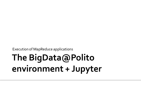Execution of MapReduce applications

# The BigData@Polito environment + Jupyter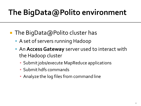### The BigData@Polito environment

- The BigData@Polito cluster has
	- A set of servers running Hadoop
	- An **Access Gateway** server used to interact with the Hadoop cluster
		- **Submit jobs/execute MapReduce applications**
		- Submit hdfs commands
		- **Analyze the log files from command line**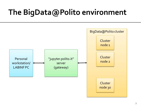#### The BigData@Polito environment

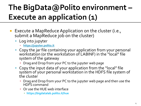## The BigData@Polito environment -Execute an application (1)

- Execute a MapReduce Application on the cluster (i.e., submit a MapReduce job on the cluster)
	- Log into jupyter
		- **[https://jupyter.polito.it](https://jupyter.polito.it/)**
	- Copy the jar file containing your application from your personal workstation (or the workstation of LABINF) in the "local" file system of the gateway
		- **Drag and Drop from your PC to the jupyter web page**
	- Copy the input data of your application from the "local" file system of your personal workstation in the HDFS file system of the cluster
		- Drag and Drop from your PC to the jupyter web page and then use the HDFS command
		- **Or use the HUE web interface** 
			- **https://bigdatalab.polito.it/hue**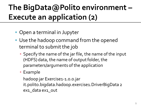## The BigData@Polito environment -**Execute an application (2)**

- **Open a terminal in Jupyter**
- Use the hadoop command from the opened terminal to submit the job
	- Specify the name of the jar file, the name of the input (HDFS) data, the name of output folder, the parameters/arguments of the application
	- Example

hadoop jar Exercise1-1.0.0.jar it.polito.bigdata.hadoop.exercise1.DriverBigData 2 ex1\_data ex1\_out